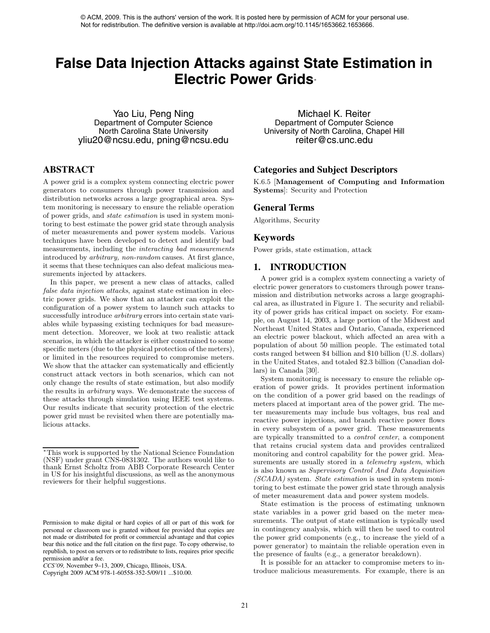# **False Data Injection Attacks against State Estimation in Electric Power Grids**<sup>∗</sup>

Yao Liu, Peng Ning Department of Computer Science North Carolina State University yliu20@ncsu.edu, pning@ncsu.edu

# **ABSTRACT**

A power grid is a complex system connecting electric power generators to consumers through power transmission and distribution networks across a large geographical area. System monitoring is necessary to ensure the reliable operation of power grids, and *state estimation* is used in system monitoring to best estimate the power grid state through analysis of meter measurements and power system models. Various techniques have been developed to detect and identify bad measurements, including the *interacting bad measurements* introduced by *arbitrary, non-random* causes. At first glance, it seems that these techniques can also defeat malicious measurements injected by attackers.

In this paper, we present a new class of attacks, called *false data injection attacks*, against state estimation in electric power grids. We show that an attacker can exploit the configuration of a power system to launch such attacks to successfully introduce *arbitrary* errors into certain state variables while bypassing existing techniques for bad measurement detection. Moreover, we look at two realistic attack scenarios, in which the attacker is either constrained to some specific meters (due to the physical protection of the meters), or limited in the resources required to compromise meters. We show that the attacker can systematically and efficiently construct attack vectors in both scenarios, which can not only change the results of state estimation, but also modify the results in *arbitrary* ways. We demonstrate the success of these attacks through simulation using IEEE test systems. Our results indicate that security protection of the electric power grid must be revisited when there are potentially malicious attacks. Action of the technique continue the space of the work. It is possible to the authors' version of the authors' version of the space of the space of the space of the space of the space of the space of the space of the spac

Michael K. Reiter Department of Computer Science University of North Carolina, Chapel Hill reiter@cs.unc.edu

## **Categories and Subject Descriptors**

K.6.5 [**Management of Computing and Information Systems**]: Security and Protection

## **General Terms**

Algorithms, Security

#### **Keywords**

Power grids, state estimation, attack

## **1. INTRODUCTION**

A power grid is a complex system connecting a variety of electric power generators to customers through power transmission and distribution networks across a large geographical area, as illustrated in Figure 1. The security and reliability of power grids has critical impact on society. For example, on August 14, 2003, a large portion of the Midwest and Northeast United States and Ontario, Canada, experienced an electric power blackout, which affected an area with a population of about 50 million people. The estimated total costs ranged between \$4 billion and \$10 billion (U.S. dollars) in the United States, and totaled \$2.3 billion (Canadian dollars) in Canada [30].

System monitoring is necessary to ensure the reliable operation of power grids. It provides pertinent information on the condition of a power grid based on the readings of meters placed at important area of the power grid. The meter measurements may include bus voltages, bus real and reactive power injections, and branch reactive power flows in every subsystem of a power grid. These measurements are typically transmitted to a *control center*, a component that retains crucial system data and provides centralized monitoring and control capability for the power grid. Measurements are usually stored in a *telemetry system*, which is also known as *Supervisory Control And Data Acquisition (SCADA)* system. *State estimation* is used in system monitoring to best estimate the power grid state through analysis of meter measurement data and power system models.

State estimation is the process of estimating unknown state variables in a power grid based on the meter measurements. The output of state estimation is typically used in contingency analysis, which will then be used to control the power grid components (e.g., to increase the yield of a power generator) to maintain the reliable operation even in the presence of faults (e.g., a generator breakdown).

It is possible for an attacker to compromise meters to introduce malicious measurements. For example, there is an

<sup>∗</sup>This work is supported by the National Science Foundation (NSF) under grant CNS-0831302. The authors would like to thank Ernst Scholtz from ABB Corporate Research Center in US for his insightful discussions, as well as the anonymous reviewers for their helpful suggestions.

Permission to make digital or hard copies of all or part of this work for personal or classroom use is granted without fee provided that copies are not made or distributed for profit or commercial advantage and that copies bear this notice and the full citation on the first page. To copy otherwise, to republish, to post on servers or to redistribute to lists, requires prior specific permission and/or a fee.

*CCS'09,* November 9–13, 2009, Chicago, Illinois, USA.

Copyright 2009 ACM 978-1-60558-352-5/09/11 ...\$10.00.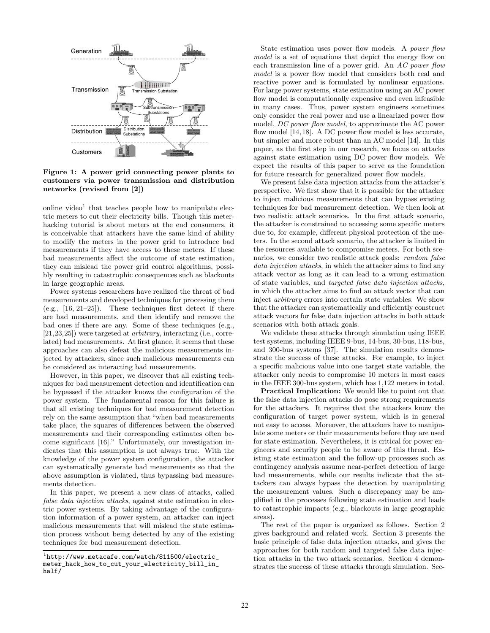

**Figure 1: A power grid connecting power plants to customers via power transmission and distribution networks (revised from [2])**

online video<sup>1</sup> that teaches people how to manipulate electric meters to cut their electricity bills. Though this meterhacking tutorial is about meters at the end consumers, it is conceivable that attackers have the same kind of ability to modify the meters in the power grid to introduce bad measurements if they have access to these meters. If these bad measurements affect the outcome of state estimation, they can mislead the power grid control algorithms, possibly resulting in catastrophic consequences such as blackouts in large geographic areas.

Power systems researchers have realized the threat of bad measurements and developed techniques for processing them  $(e.g., [16, 21-25])$ . These techniques first detect if there are bad measurements, and then identify and remove the bad ones if there are any. Some of these techniques (e.g., [21,23,25]) were targeted at *arbitrary*, interacting (i.e., correlated) bad measurements. At first glance, it seems that these approaches can also defeat the malicious measurements injected by attackers, since such malicious measurements can be considered as interacting bad measurements.

However, in this paper, we discover that all existing techniques for bad measurement detection and identification can be bypassed if the attacker knows the configuration of the power system. The fundamental reason for this failure is that all existing techniques for bad measurement detection rely on the same assumption that "when bad measurements take place, the squares of differences between the observed measurements and their corresponding estimates often become significant [16]." Unfortunately, our investigation indicates that this assumption is not always true. With the knowledge of the power system configuration, the attacker can systematically generate bad measurements so that the above assumption is violated, thus bypassing bad measurements detection.

In this paper, we present a new class of attacks, called *false data injection attacks*, against state estimation in electric power systems. By taking advantage of the configuration information of a power system, an attacker can inject malicious measurements that will mislead the state estimation process without being detected by any of the existing techniques for bad measurement detection.

State estimation uses power flow models. A *power flow* model is a set of equations that depict the energy flow on each transmission line of a power grid. An *AC power flow model* is a power flow model that considers both real and reactive power and is formulated by nonlinear equations. For large power systems, state estimation using an AC power flow model is computationally expensive and even infeasible in many cases. Thus, power system engineers sometimes only consider the real power and use a linearized power flow model, *DC power flow model*, to approximate the AC power flow model [14,18]. A DC power flow model is less accurate, but simpler and more robust than an AC model [14]. In this paper, as the first step in our research, we focus on attacks against state estimation using DC power flow models. We expect the results of this paper to serve as the foundation for future research for generalized power flow models.

We present false data injection attacks from the attacker's perspective. We first show that it is possible for the attacker to inject malicious measurements that can bypass existing techniques for bad measurement detection. We then look at two realistic attack scenarios. In the first attack scenario, the attacker is constrained to accessing some specific meters due to, for example, different physical protection of the meters. In the second attack scenario, the attacker is limited in the resources available to compromise meters. For both scenarios, we consider two realistic attack goals: *random false data injection attacks*, in which the attacker aims to find any attack vector as long as it can lead to a wrong estimation of state variables, and *targeted false data injection attacks*, in which the attacker aims to find an attack vector that can inject *arbitrary* errors into certain state variables. We show that the attacker can systematically and efficiently construct attack vectors for false data injection attacks in both attack scenarios with both attack goals.

We validate these attacks through simulation using IEEE test systems, including IEEE 9-bus, 14-bus, 30-bus, 118-bus, and 300-bus systems [37]. The simulation results demonstrate the success of these attacks. For example, to inject a specific malicious value into one target state variable, the attacker only needs to compromise 10 meters in most cases in the IEEE 300-bus system, which has 1,122 meters in total.

**Practical Implication:** We would like to point out that the false data injection attacks do pose strong requirements for the attackers. It requires that the attackers know the configuration of target power system, which is in general not easy to access. Moreover, the attackers have to manipulate some meters or their measurements before they are used for state estimation. Nevertheless, it is critical for power engineers and security people to be aware of this threat. Existing state estimation and the follow-up processes such as contingency analysis assume near-perfect detection of large bad measurements, while our results indicate that the attackers can always bypass the detection by manipulating the measurement values. Such a discrepancy may be amplified in the processes following state estimation and leads to catastrophic impacts (e.g., blackouts in large geographic areas).

The rest of the paper is organized as follows. Section 2 gives background and related work. Section 3 presents the basic principle of false data injection attacks, and gives the approaches for both random and targeted false data injection attacks in the two attack scenarios. Section 4 demonstrates the success of these attacks through simulation. Sec-

 $1$ http://www.metacafe.com/watch/811500/electric\_ meter\_hack\_how\_to\_cut\_your\_electricity\_bill\_in\_ half/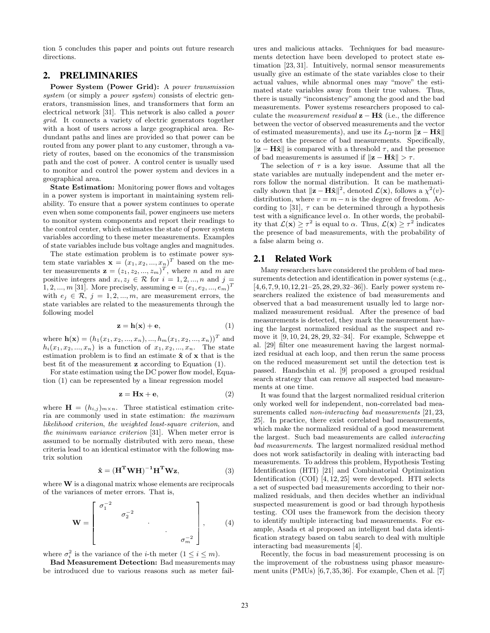tion 5 concludes this paper and points out future research directions.

## **2. PRELIMINARIES**

**Power System (Power Grid):** A *power transmission system* (or simply a *power system*) consists of electric generators, transmission lines, and transformers that form an electrical network [31]. This network is also called a *power grid*. It connects a variety of electric generators together with a host of users across a large geographical area. Redundant paths and lines are provided so that power can be routed from any power plant to any customer, through a variety of routes, based on the economics of the transmission path and the cost of power. A control center is usually used to monitor and control the power system and devices in a geographical area.

**State Estimation:** Monitoring power flows and voltages in a power system is important in maintaining system reliability. To ensure that a power system continues to operate even when some components fail, power engineers use meters to monitor system components and report their readings to the control center, which estimates the state of power system variables according to these meter measurements. Examples of state variables include bus voltage angles and magnitudes.

The state estimation problem is to estimate power system state variables  $\mathbf{x} = (x_1, x_2, ..., x_n)^T$  based on the meter measurements  $\mathbf{z} = (z_1, z_2, ..., z_m)^T$ , where *n* and *m* are positive integers and  $x_i, z_j \in \mathcal{R}$  for  $i = 1, 2, ..., n$  and  $j =$ 1, 2, ..., *m* [31]. More precisely, assuming  $e = (e_1, e_2, ..., e_m)^T$ with  $e_j \in \mathcal{R}, j = 1, 2, ..., m$ , are measurement errors, the state variables are related to the measurements through the following model

$$
z = h(x) + e,\t\t(1)
$$

where  $\mathbf{h}(\mathbf{x})=(h_1(x_1, x_2, ..., x_n), ..., h_m(x_1, x_2, ..., x_n))^T$  and  $h_i(x_1, x_2, ..., x_n)$  is a function of  $x_1, x_2, ..., x_n$ . The state estimation problem is to find an estimate **xˆ** of **x** that is the best fit of the measurement **z** according to Equation (1).

For state estimation using the DC power flow model, Equation (1) can be represented by a linear regression model

$$
z = Hx + e,\t\t(2)
$$

where  $\mathbf{H} = (h_{i,j})_{m \times n}$ . Three statistical estimation criteria are commonly used in state estimation: *the maximum likelihood criterion*, *the weighted least-square criterion*, and *the minimum variance criterion* [31]. When meter error is assumed to be normally distributed with zero mean, these criteria lead to an identical estimator with the following matrix solution

$$
\hat{\mathbf{x}} = (\mathbf{H}^{\mathrm{T}} \mathbf{W} \mathbf{H})^{-1} \mathbf{H}^{\mathrm{T}} \mathbf{W} \mathbf{z},\tag{3}
$$

where **W** is a diagonal matrix whose elements are reciprocals of the variances of meter errors. That is,

$$
\mathbf{W} = \begin{bmatrix} \sigma_1^{-2} & & & \\ & \sigma_2^{-2} & & \\ & & \ddots & \\ & & & \ddots & \\ & & & & \sigma_m^{-2} \end{bmatrix}, \qquad (4)
$$

where  $\sigma_i^2$  is the variance of the *i*-th meter  $(1 \le i \le m)$ .

**Bad Measurement Detection:** Bad measurements may be introduced due to various reasons such as meter failures and malicious attacks. Techniques for bad measurements detection have been developed to protect state estimation [23, 31]. Intuitively, normal sensor measurements usually give an estimate of the state variables close to their actual values, while abnormal ones may "move" the estimated state variables away from their true values. Thus, there is usually "inconsistency" among the good and the bad measurements. Power systems researchers proposed to calculate the *measurement residual*  $z - H\hat{x}$  (i.e., the difference between the vector of observed measurements and the vector of estimated measurements), and use its  $L_2$ -norm  $\|\mathbf{z} - \mathbf{H}\mathbf{\hat{x}}\|$ to detect the presence of bad measurements. Specifically,  $\|\mathbf{z} - \mathbf{H}\hat{\mathbf{x}}\|$  is compared with a threshold  $\tau$ , and the presence of bad measurements is assumed if  $\|\mathbf{z} - \mathbf{H}\hat{\mathbf{x}}\| > \tau$ .

The selection of  $\tau$  is a key issue. Assume that all the state variables are mutually independent and the meter errors follow the normal distribution. It can be mathematically shown that  $\|\mathbf{z} - \mathbf{H}\hat{\mathbf{x}}\|^2$ , denoted  $\mathcal{L}(\mathbf{x})$ , follows a  $\chi^2(v)$ distribution, where  $v = m - n$  is the degree of freedom. According to [31],  $\tau$  can be determined through a hypothesis test with a significance level  $\alpha$ . In other words, the probability that  $\mathcal{L}(\mathbf{x}) \geq \tau^2$  is equal to  $\alpha$ . Thus,  $\mathcal{L}(\mathbf{x}) \geq \tau^2$  indicates the presence of bad measurements, with the probability of a false alarm being  $\alpha$ .

## **2.1 Related Work**

Many researchers have considered the problem of bad measurements detection and identification in power systems (e.g., [4,6,7,9,10,12,21–25,28,29,32–36]). Early power system researchers realized the existence of bad measurements and observed that a bad measurement usually led to large normalized measurement residual. After the presence of bad measurements is detected, they mark the measurement having the largest normalized residual as the suspect and remove it [9, 10, 24, 28, 29, 32–34]. For example, Schweppe et al. [29] filter one measurement having the largest normalized residual at each loop, and then rerun the same process on the reduced measurement set until the detection test is passed. Handschin et al. [9] proposed a grouped residual search strategy that can remove all suspected bad measurements at one time.

It was found that the largest normalized residual criterion only worked well for independent, non-correlated bad measurements called *non-interacting bad measurements* [21, 23, 25]. In practice, there exist correlated bad measurements, which make the normalized residual of a good measurement the largest. Such bad measurements are called *interacting bad measurements*. The largest normalized residual method does not work satisfactorily in dealing with interacting bad measurements. To address this problem, Hypothesis Testing Identification (HTI) [21] and Combinatorial Optimization Identification (COI) [4, 12, 25] were developed. HTI selects a set of suspected bad measurements according to their normalized residuals, and then decides whether an individual suspected measurement is good or bad through hypothesis testing. COI uses the framework from the decision theory to identify multiple interacting bad measurements. For example, Asada et al proposed an intelligent bad data identification strategy based on tabu search to deal with multiple interacting bad measurements [4].

Recently, the focus in bad measurement processing is on the improvement of the robustness using phasor measurement units (PMUs) [6,7,35,36]. For example, Chen et al. [7]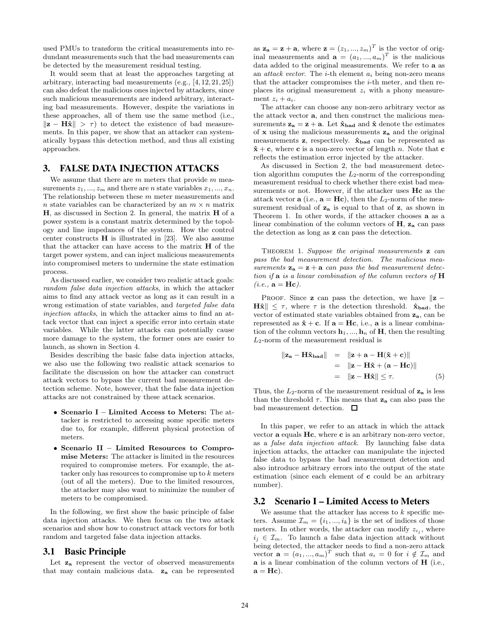used PMUs to transform the critical measurements into redundant measurements such that the bad measurements can be detected by the measurement residual testing.

It would seem that at least the approaches targeting at arbitrary, interacting bad measurements (e.g., [4, 12, 21, 25]) can also defeat the malicious ones injected by attackers, since such malicious measurements are indeed arbitrary, interacting bad measurements. However, despite the variations in these approaches, all of them use the same method (i.e.,  $\|\mathbf{z} - \mathbf{H}\hat{\mathbf{x}}\| > \tau$  to detect the existence of bad measurements. In this paper, we show that an attacker can systematically bypass this detection method, and thus all existing approaches.

## **3. FALSE DATA INJECTION ATTACKS**

We assume that there are  $m$  meters that provide  $m$  measurements  $z_1, ..., z_m$  and there are *n* state variables  $x_1, ..., x_n$ . The relationship between these  $m$  meter measurements and n state variables can be characterized by an  $m \times n$  matrix **H**, as discussed in Section 2. In general, the matrix **H** of a power system is a constant matrix determined by the topology and line impedances of the system. How the control center constructs **H** is illustrated in [23]. We also assume that the attacker can have access to the matrix **H** of the target power system, and can inject malicious measurements into compromised meters to undermine the state estimation process.

As discussed earlier, we consider two realistic attack goals: *random false data injection attacks*, in which the attacker aims to find any attack vector as long as it can result in a wrong estimation of state variables, and *targeted false data injection attacks*, in which the attacker aims to find an attack vector that can inject a specific error into certain state variables. While the latter attacks can potentially cause more damage to the system, the former ones are easier to launch, as shown in Section 4.

Besides describing the basic false data injection attacks, we also use the following two realistic attack scenarios to facilitate the discussion on how the attacker can construct attack vectors to bypass the current bad measurement detection scheme. Note, however, that the false data injection attacks are not constrained by these attack scenarios.

- **Scenario I Limited Access to Meters:** The attacker is restricted to accessing some specific meters due to, for example, different physical protection of meters.
- **Scenario II Limited Resources to Compromise Meters:** The attacker is limited in the resources required to compromise meters. For example, the attacker only has resources to compromise up to k meters (out of all the meters). Due to the limited resources, the attacker may also want to minimize the number of meters to be compromised.

In the following, we first show the basic principle of false data injection attacks. We then focus on the two attack scenarios and show how to construct attack vectors for both random and targeted false data injection attacks.

#### **3.1 Basic Principle**

Let  $z_a$  represent the vector of observed measurements that may contain malicious data. **z<sup>a</sup>** can be represented

as  $z_a = z + a$ , where  $z = (z_1, ..., z_m)^T$  is the vector of original measurements and  $\mathbf{a} = (a_1, ..., a_m)^T$  is the malicious data added to the original measurements. We refer to **a** as an *attack vector*. The i-th element a*<sup>i</sup>* being non-zero means that the attacker compromises the  $i$ -th meter, and then replaces its original measurement z*<sup>i</sup>* with a phony measurement  $z_i + a_i$ .

The attacker can choose any non-zero arbitrary vector as the attack vector **a**, and then construct the malicious measurements  $z_a = z + a$ . Let  $\hat{x}_{bad}$  and  $\hat{x}$  denote the estimates of **x** using the malicious measurements **z<sup>a</sup>** and the original measurements **z**, respectively. **xˆbad** can be represented as  $\hat{\mathbf{x}} + \mathbf{c}$ , where **c** is a non-zero vector of length n. Note that **c** reflects the estimation error injected by the attacker.

As discussed in Section 2, the bad measurement detection algorithm computes the  $L_2$ -norm of the corresponding measurement residual to check whether there exist bad measurements or not. However, if the attacker uses **Hc** as the attack vector **a** (i.e.,  $\mathbf{a} = \mathbf{H}\mathbf{c}$ ), then the  $L_2$ -norm of the measurement residual of **z<sup>a</sup>** is equal to that of **z**, as shown in Theorem 1. In other words, if the attacker chooses **a** as a linear combination of the column vectors of **H**, **z<sup>a</sup>** can pass the detection as long as **z** can pass the detection.

Theorem 1. *Suppose the original measurements* **z** *can pass the bad measurement detection. The malicious measurements*  $z_a = z + a$  *can pass the bad measurement detection if* **a** *is a linear combination of the column vectors of* **H**  $(i.e., \mathbf{a} = \mathbf{Hc}).$ 

PROOF. Since **z** can pass the detection, we have  $\|\mathbf{z} - \mathbf{z}\|$ **H** $\hat{\mathbf{x}}$   $\leq \tau$ , where  $\tau$  is the detection threshold.  $\hat{\mathbf{x}}_{\text{bad}}$ , the vector of estimated state variables obtained from **za**, can be represented as  $\hat{\mathbf{x}} + \mathbf{c}$ . If  $\mathbf{a} = \mathbf{H}\mathbf{c}$ , i.e.,  $\mathbf{a}$  is a linear combination of the column vectors  $\mathbf{h}_1, ..., \mathbf{h}_n$  of **H**, then the resulting  $L_2$ -norm of the measurement residual is

$$
\|\mathbf{z}_{\mathbf{a}} - \mathbf{H}\hat{\mathbf{x}}_{\mathbf{b}\mathbf{a}\mathbf{d}}\| = \|\mathbf{z} + \mathbf{a} - \mathbf{H}(\hat{\mathbf{x}} + \mathbf{c})\|
$$
  
= 
$$
\|\mathbf{z} - \mathbf{H}\hat{\mathbf{x}} + (\mathbf{a} - \mathbf{H}\mathbf{c})\|
$$
  
= 
$$
\|\mathbf{z} - \mathbf{H}\hat{\mathbf{x}}\| \leq \tau.
$$
 (5)

Thus, the  $L_2$ -norm of the measurement residual of  $z_a$  is less than the threshold  $\tau$ . This means that **za** can also pass the bad measurement detection.  $\Box$ 

In this paper, we refer to an attack in which the attack vector **a** equals **Hc**, where **c** is an arbitrary non-zero vector, as a *false data injection attack*. By launching false data injection attacks, the attacker can manipulate the injected false data to bypass the bad measurement detection and also introduce arbitrary errors into the output of the state estimation (since each element of **c** could be an arbitrary number).

## **3.2 Scenario I – Limited Access to Meters**

We assume that the attacker has access to  $k$  specific meters. Assume  $\mathcal{I}_m = \{i_1, ..., i_k\}$  is the set of indices of those meters. In other words, the attacker can modify  $z_{i_j}$ , where  $i_j \in \mathcal{I}_m$ . To launch a false data injection attack without being detected, the attacker needs to find a non-zero attack vector  $\mathbf{a} = (a_1, ..., a_m)^T$  such that  $a_i = 0$  for  $i \notin \mathcal{I}_m$  and **a** is a linear combination of the column vectors of **H** (i.e.,  $\mathbf{a} = \mathbf{H}\mathbf{c}$ .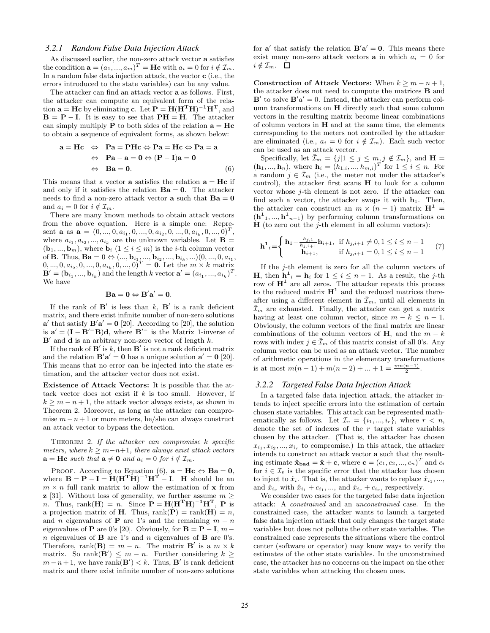#### *3.2.1 Random False Data Injection Attack*

As discussed earlier, the non-zero attack vector **a** satisfies the condition  $\mathbf{a} = (a_1, ..., a_m)^T = \mathbf{H} \mathbf{c}$  with  $a_i = 0$  for  $i \notin \mathcal{I}_m$ . In a random false data injection attack, the vector **c** (i.e., the errors introduced to the state variables) can be any value.

The attacker can find an attack vector **a** as follows. First, the attacker can compute an equivalent form of the rela- $\mathbf{a} = \mathbf{Hc}$  by eliminating **c**. Let  $\mathbf{P} = \mathbf{H}(\mathbf{H}^T\mathbf{H})^{-1}\mathbf{H}^T$ , and  $\mathbf{B} = \mathbf{P} - \mathbf{I}$ . It is easy to see that  $\mathbf{PH} = \mathbf{H}$ . The attacker can simply multiply **P** to both sides of the relation  $\mathbf{a} = \mathbf{H}\mathbf{c}$ to obtain a sequence of equivalent forms, as shown below:

$$
a = Hc \Leftrightarrow Pa = PHe \Leftrightarrow Pa = Hc \Leftrightarrow Pa = a
$$
  

$$
\Leftrightarrow Pa - a = 0 \Leftrightarrow (P - I)a = 0
$$
  

$$
\Leftrightarrow Ba = 0.
$$
 (6)

This means that a vector **a** satisfies the relation  $\mathbf{a} = \mathbf{H}\mathbf{c}$  if and only if it satisfies the relation  $\mathbf{Ba} = \mathbf{0}$ . The attacker needs to find a non-zero attack vector **a** such that  $\mathbf{Ba} = 0$ and  $a_i = 0$  for  $i \notin \mathcal{I}_m$ .

There are many known methods to obtain attack vectors from the above equation. Here is a simple one: Represent **a** as  $\mathbf{a} = (0, ..., 0, a_{i_1}, 0, ..., 0, a_{i_2}, 0, ..., 0, a_{i_k}, 0, ..., 0)^T$ , where  $a_{i_1}, a_{i_2}, ..., a_{i_k}$  are the unknown variables. Let **B** =  $(\mathbf{b}_1, ..., \mathbf{b}_m)$ , where  $\mathbf{b}_i$  ( $1 \leq i \leq m$ ) is the *i*-th column vector of **B**. Thus, **Ba** =  $0 \Leftrightarrow$  (...,  $\mathbf{b}_{i_1}$ , ...,  $\mathbf{b}_{i_2}$ , ...,  $\mathbf{b}_{i_k}$ , ...)(0, ..., 0,  $a_{i_1}$ ,  $(0, ..., 0, a_{i_2}, 0, ..., 0, a_{i_k}, 0, ..., 0)^T = \mathbf{0}$ . Let the  $m \times k$  matrix  $\mathbf{B}' = (\mathbf{b}_{i_1}, ..., \mathbf{b}_{i_k})$  and the length k vector  $\mathbf{a}' = (a_{i_1}, ..., a_{i_k})^T$ . We have

$$
\mathbf{Ba} = \mathbf{0} \Leftrightarrow \mathbf{B}'\mathbf{a}' = \mathbf{0}.
$$

If the rank of  $\mathbf{B}'$  is less than  $k$ ,  $\mathbf{B}'$  is a rank deficient matrix, and there exist infinite number of non-zero solutions  $\mathbf{a}'$  that satisfy  $\mathbf{B}'\mathbf{a}' = \mathbf{0}$  [20]. According to [20], the solution is  $\mathbf{a}' = (\mathbf{I} - \mathbf{B}'^{-} \mathbf{B}) \mathbf{d}$ , where  $\mathbf{B}'^{-}$  is the Matrix 1-inverse of  $\mathbf{B}'$  and **d** is an arbitrary non-zero vector of length k.

If the rank of  $\mathbf{B}'$  is k, then  $\mathbf{B}'$  is not a rank deficient matrix and the relation  $\mathbf{B}'\mathbf{a}' = \mathbf{0}$  has a unique solution  $\mathbf{a}' = \mathbf{0}$  [20]. This means that no error can be injected into the state estimation, and the attacker vector does not exist.

**Existence of Attack Vectors:** It is possible that the attack vector does not exist if  $k$  is too small. However, if  $k \geq m - n + 1$ , the attack vector always exists, as shown in Theorem 2. Moreover, as long as the attacker can compromise  $m - n + 1$  or more meters, he/she can always construct an attack vector to bypass the detection.

Theorem 2. *If the attacker can compromise* k *specific meters, where*  $k > m-n+1$ *, there always exist attack vectors*  $\mathbf{a} = \mathbf{Hc}$  *such that*  $\mathbf{a} \neq \mathbf{0}$  *and*  $a_i = 0$  *for*  $i \notin \mathcal{I}_m$ *.* 

PROOF. According to Equation (6),  $\mathbf{a} = \mathbf{H}\mathbf{c} \Leftrightarrow \mathbf{B}\mathbf{a} = \mathbf{0}$ , where  $\mathbf{B} = \mathbf{P} - \mathbf{I} = \mathbf{H}(\mathbf{H}^T \mathbf{H})^{-1} \mathbf{H}^T - \mathbf{I}$ . **H** should be an  $m \times n$  full rank matrix to allow the estimation of **x** from **z** [31]. Without loss of generality, we further assume  $m >$  $n.$  Thus, rank( $\mathbf{H}$ ) = n. Since  $\mathbf{P} = \mathbf{H}(\mathbf{H}^T\mathbf{H})^{-1}\mathbf{H}^T$ ,  $\mathbf{P}$  is a projection matrix of **H**. Thus,  $rank(\mathbf{P}) = rank(\mathbf{H}) = n$ , and *n* eigenvalues of **P** are 1's and the remaining  $m - n$ eigenvalues of **P** are 0's [20]. Obviously, for  $\mathbf{B} = \mathbf{P} - \mathbf{I}$ ,  $m$ n eigenvalues of **B** are 1's and n eigenvalues of **B** are 0's. Therefore, rank(**B**) =  $m - n$ . The matrix **B**' is a  $m \times k$ matrix. So  $\text{rank}(\mathbf{B}') \leq m - n$ . Further considering  $k \geq$  $m-n+1$ , we have rank $(\mathbf{B}') < k$ . Thus,  $\mathbf{B}'$  is rank deficient matrix and there exist infinite number of non-zero solutions

for  $\mathbf{a}'$  that satisfy the relation  $\mathbf{B}'\mathbf{a}' = \mathbf{0}$ . This means there exist many non-zero attack vectors **a** in which  $a_i = 0$  for  $i \notin \mathcal{I}_m$ .  $\Box$ 

**Construction of Attack Vectors:** When  $k > m - n + 1$ , the attacker does not need to compute the matrices **B** and  $\mathbf{B}'$  to solve  $\mathbf{B}'a' = 0$ . Instead, the attacker can perform column transformations on **H** directly such that some column vectors in the resulting matrix become linear combinations of column vectors in **H** and at the same time, the elements corresponding to the meters not controlled by the attacker are eliminated (i.e.,  $a_i = 0$  for  $i \notin \mathcal{I}_m$ ). Each such vector can be used as an attack vector.

Specifically, let  $\bar{\mathcal{I}}_m = \{j | 1 \le j \le m, j \notin \mathcal{I}_m\}$ , and  $\mathbf{H} =$  $(\mathbf{h}_1, ..., \mathbf{h}_n)$ , where  $\mathbf{h}_i = (h_{1,i}, ..., h_{m,i})^T$  for  $1 \leq i \leq n$ . For a random  $j \in \overline{\mathcal{I}}_m$  (i.e., the meter not under the attacker's control), the attacker first scans **H** to look for a column vector whose  $j$ -th element is not zero. If the attacker can find such a vector, the attacker swaps it with  $h_1$ . Then, the attacker can construct an  $m \times (n-1)$  matrix  $\mathbf{H}^1$  =  $(\mathbf{h}^1_1, ..., \mathbf{h}^1_{n-1})$  by performing column transformations on  $H$  (to zero out the *j*-th element in all column vectors):

$$
\mathbf{h}^1_{\ i} = \begin{cases} \n\mathbf{h}_1 - \frac{h_{j,1}}{h_{j,i+1}} \mathbf{h}_{i+1}, & \text{if } h_{j,i+1} \neq 0, 1 \leq i \leq n-1\\ \n\mathbf{h}_{i+1}, & \text{if } h_{j,i+1} = 0, 1 \leq i \leq n-1 \n\end{cases} \tag{7}
$$

If the  $j$ -th element is zero for all the column vectors of **H**, then  $\mathbf{h}^1_i = \mathbf{h}_i$  for  $1 \leq i \leq n-1$ . As a result, the *j*-th row of  $\mathbf{H}^1$  are all zeros. The attacker repeats this process to the reduced matrix  $H^1$  and the reduced matrices thereafter using a different element in  $\bar{\mathcal{I}}_m$ , until all elements in  $\bar{\mathcal{I}}_m$  are exhausted. Finally, the attacker can get a matrix having at least one column vector, since  $m - k \leq n - 1$ . Obviously, the column vectors of the final matrix are linear combinations of the column vectors of **H**, and the  $m - k$ rows with index  $j \in \overline{\mathcal{I}}_m$  of this matrix consist of all 0's. Any column vector can be used as an attack vector. The number of arithmetic operations in the elementary transformations is at most  $m(n-1) + m(n-2) + ... + 1 = \frac{mn(n-1)}{2}$ .

#### *3.2.2 Targeted False Data Injection Attack*

In a targeted false data injection attack, the attacker intends to inject specific errors into the estimation of certain chosen state variables. This attack can be represented mathematically as follows. Let  $\mathcal{I}_v = \{i_1, ..., i_r\}$ , where  $r < n$ , denote the set of indexes of the  $r$  target state variables chosen by the attacker. (That is, the attacker has chosen  $x_{i_1}, x_{i_2}, ..., x_{i_r}$  to compromise.) In this attack, the attacker intends to construct an attack vector **a** such that the resulting estimate  $\mathbf{\hat{x}}_{\text{bad}} = \mathbf{\hat{x}} + \mathbf{c}$ , where  $\mathbf{c} = (c_1, c_2, ..., c_n)^T$  and  $c_i$ for  $i \in \mathcal{I}_v$  is the specific error that the attacker has chosen to inject to  $\hat{x}_i$ . That is, the attacker wants to replace  $\hat{x}_{i_1}, ...,$ and  $\hat{x}_{i_r}$  with  $\hat{x}_{i_1} + c_{i_1}, \dots$ , and  $\hat{x}_{i_r} + c_{i_r}$ , respectively.

We consider two cases for the targeted false data injection attack: A *constrained* and an *unconstrained* case. In the constrained case, the attacker wants to launch a targeted false data injection attack that only changes the target state variables but does not pollute the other state variables. The constrained case represents the situations where the control center (software or operator) may know ways to verify the estimates of the other state variables. In the unconstrained case, the attacker has no concerns on the impact on the other state variables when attacking the chosen ones.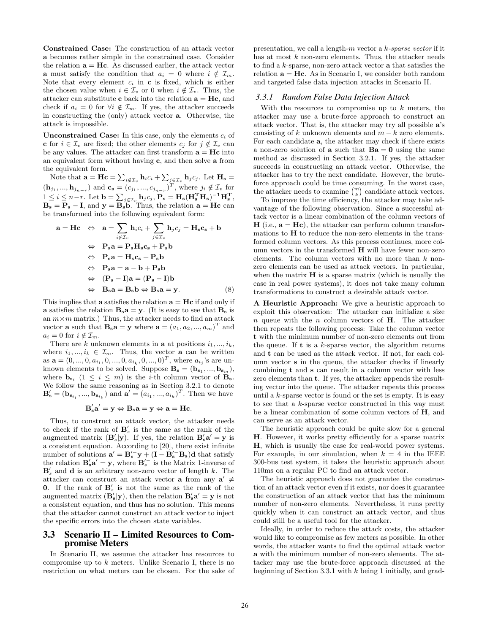**Constrained Case:** The construction of an attack vector **a** becomes rather simple in the constrained case. Consider the relation  $\mathbf{a} = \mathbf{H}\mathbf{c}$ . As discussed earlier, the attack vector **a** must satisfy the condition that  $a_i = 0$  where  $i \notin \mathcal{I}_m$ . Note that every element  $c_i$  in  $\mathbf{c}$  is fixed, which is either the chosen value when  $i \in \mathcal{I}_v$  or 0 when  $i \notin \mathcal{I}_v$ . Thus, the attacker can substitute **c** back into the relation  $\mathbf{a} = \mathbf{H}\mathbf{c}$ , and check if  $a_i = 0$  for  $\forall i \notin \mathcal{I}_m$ . If yes, the attacker succeeds in constructing the (only) attack vector **a**. Otherwise, the attack is impossible.

**Unconstrained Case:** In this case, only the elements  $c_i$  of **c** for  $i \in \mathcal{I}_v$  are fixed; the other elements  $c_j$  for  $j \notin \mathcal{I}_v$  can be any values. The attacker can first transform  $\mathbf{a} = \mathbf{H}\mathbf{c}$  into an equivalent form without having **c**, and then solve **a** from the equivalent form.

Note that  $\mathbf{a} = \mathbf{Hc} = \sum_{i \notin \mathcal{I}_v} \mathbf{h}_i c_i + \sum_{j \in \mathcal{I}_v} \mathbf{h}_j c_j$ . Let  $\mathbf{H_s} =$  $(**h**<sub>j1</sub>, ..., **h**<sub>j<sub>n−r</sub></sub>)$  and **, where**  $j<sub>i</sub> ∉ I<sub>v</sub>$  **for**  $1 \leq i \leq n-r$ . Let  $\mathbf{b} = \sum_{j \in \mathcal{I}_v} \mathbf{h}_j c_j, \mathbf{P_s} = \mathbf{H_s} (\mathbf{H_s^T} \mathbf{H_s})^{-1} \mathbf{H_s^T_s},$  $\mathbf{B_s} = \mathbf{P_s} - \mathbf{I}$ , and  $\mathbf{y} = \mathbf{B_s} \mathbf{b}$ . Thus, the relation  $\mathbf{a} = \mathbf{Hc}$  can be transformed into the following equivalent form:

$$
\mathbf{a} = \mathbf{Hc} \Leftrightarrow \mathbf{a} = \sum_{i \notin \mathcal{I}_v} \mathbf{h}_i c_i + \sum_{j \in \mathcal{I}_v} \mathbf{h}_j c_j = \mathbf{H}_s \mathbf{c}_s + \mathbf{b}
$$
  
\n
$$
\Leftrightarrow \mathbf{P}_s \mathbf{a} = \mathbf{P}_s \mathbf{H}_s \mathbf{c}_s + \mathbf{P}_s \mathbf{b}
$$
  
\n
$$
\Leftrightarrow \mathbf{P}_s \mathbf{a} = \mathbf{H}_s \mathbf{c}_s + \mathbf{P}_s \mathbf{b}
$$
  
\n
$$
\Leftrightarrow \mathbf{P}_s \mathbf{a} = \mathbf{a} - \mathbf{b} + \mathbf{P}_s \mathbf{b}
$$
  
\n
$$
\Leftrightarrow (\mathbf{P}_s - \mathbf{I}) \mathbf{a} = (\mathbf{P}_s - \mathbf{I}) \mathbf{b}
$$
  
\n
$$
\Leftrightarrow \mathbf{B}_s \mathbf{a} = \mathbf{B}_s \mathbf{b} \Leftrightarrow \mathbf{B}_s \mathbf{a} = \mathbf{y}.
$$
 (8)

This implies that **a** satisfies the relation  $\mathbf{a} = \mathbf{H}\mathbf{c}$  if and only if **a** satisfies the relation  $\mathbf{B}_s \mathbf{a} = \mathbf{y}$ . (It is easy to see that  $\mathbf{B}_s$  is an  $m \times m$  matrix.) Thus, the attacker needs to find an attack vector **a** such that  $\mathbf{B}_s \mathbf{a} = \mathbf{y}$  where  $\mathbf{a} = (a_1, a_2, ..., a_m)^T$  and  $a_i = 0$  for  $i \notin \mathcal{I}_m$ .

There are k unknown elements in **a** at positions  $i_1, ..., i_k$ , where  $i_1, ..., i_k \in \mathcal{I}_m$ . Thus, the vector **a** can be written as  $\mathbf{a} = (0, ..., 0, a_{i_1}, 0, ..., 0, a_{i_k}, 0, ..., 0)^T$ , where  $a_{i_j}$ 's are unknown elements to be solved. Suppose  $\mathbf{B_s} = (\mathbf{b_{s_1}}, ..., \mathbf{b_{s_m}})$ , where  $\mathbf{b}_{\mathbf{s}_i}$   $(1 \leq i \leq m)$  is the *i*-th column vector of  $\mathbf{B}_{\mathbf{s}}$ . We follow the same reasoning as in Section 3.2.1 to denote  $\mathbf{B}'_{s} = (\mathbf{b}_{\mathbf{s}_{i_1}}, ..., \mathbf{b}_{\mathbf{s}_{i_k}})$  and  $\mathbf{a}' = (a_{i_1}, ..., a_{i_k})^T$ . Then we have

$$
\mathbf{B}'_s\mathbf{a}'=\mathbf{y}\Leftrightarrow \mathbf{B}_s\mathbf{a}=\mathbf{y}\Leftrightarrow \mathbf{a}=\mathbf{H}\mathbf{c}.
$$

Thus, to construct an attack vector, the attacker needs to check if the rank of  $\mathbf{B}'_s$  is the same as the rank of the augmented matrix  $(\mathbf{B}_s'|\mathbf{y})$ . If yes, the relation  $\mathbf{B}_s' \mathbf{a}' = \mathbf{y}$  is a consistent equation. According to [20], there exist infinite number of solutions  $\mathbf{a}' = \mathbf{B_s'}^-\mathbf{y} + (\mathbf{I} - \mathbf{B_s'}^-\mathbf{B_s})\mathbf{d}$  that satisfy the relation  $\mathbf{B}'_{s} \mathbf{a}' = \mathbf{y}$ , where  $\mathbf{B}'_{s}$  is the Matrix 1-inverse of **B** *<sup>s</sup>* and **d** is an arbitrary non-zero vector of length k. The attacker can construct an attack vector **a** from any  $a' \neq$ **0**. If the rank of **B** *<sup>s</sup>* is not the same as the rank of the augmented matrix  $(\mathbf{B}'_{s}|\mathbf{y})$ , then the relation  $\mathbf{B}'_{s}\mathbf{a}' = \mathbf{y}$  is not a consistent equation, and thus has no solution. This means that the attacker cannot construct an attack vector to inject the specific errors into the chosen state variables.

#### **3.3 Scenario II – Limited Resources to Compromise Meters**

In Scenario II, we assume the attacker has resources to compromise up to  $k$  meters. Unlike Scenario I, there is no restriction on what meters can be chosen. For the sake of presentation, we call a length-m vector a k*-sparse vector* if it has at most  $k$  non-zero elements. Thus, the attacker needs to find a k-sparse, non-zero attack vector **a** that satisfies the relation  $\mathbf{a} = \mathbf{H}\mathbf{c}$ . As in Scenario I, we consider both random and targeted false data injection attacks in Scenario II.

#### *3.3.1 Random False Data Injection Attack*

With the resources to compromise up to  $k$  meters, the attacker may use a brute-force approach to construct an attack vector. That is, the attacker may try all possible **a**'s consisting of k unknown elements and  $m - k$  zero elements. For each candidate **a**, the attacker may check if there exists a non-zero solution of **a** such that  $\mathbf{Ba} = 0$  using the same method as discussed in Section 3.2.1. If yes, the attacker succeeds in constructing an attack vector. Otherwise, the attacker has to try the next candidate. However, the bruteforce approach could be time consuming. In the worst case, the attacker needs to examine  $\binom{m}{k}$  candidate attack vectors.

To improve the time efficiency, the attacker may take advantage of the following observation. Since a successful attack vector is a linear combination of the column vectors of  $H$  (i.e.,  $a = Hc$ ), the attacker can perform column transformations to **H** to reduce the non-zero elements in the transformed column vectors. As this process continues, more column vectors in the transformed **H** will have fewer non-zero elements. The column vectors with no more than  $k$  nonzero elements can be used as attack vectors. In particular, when the matrix **H** is a sparse matrix (which is usually the case in real power systems), it does not take many column transformations to construct a desirable attack vector.

**A Heuristic Approach:** We give a heuristic approach to exploit this observation: The attacker can initialize a size n queue with the n column vectors of **H**. The attacker then repeats the following process: Take the column vector **t** with the minimum number of non-zero elements out from the queue. If **t** is a k-sparse vector, the algorithm returns and **t** can be used as the attack vector. If not, for each column vector **s** in the queue, the attacker checks if linearly combining **t** and **s** can result in a column vector with less zero elements than **t**. If yes, the attacker appends the resulting vector into the queue. The attacker repeats this process until a  $k$ -sparse vector is found or the set is empty. It is easy to see that a k-sparse vector constructed in this way must be a linear combination of some column vectors of **H**, and can serve as an attack vector.

The heuristic approach could be quite slow for a general **H**. However, it works pretty efficiently for a sparse matrix **H**, which is usually the case for real-world power systems. For example, in our simulation, when  $k = 4$  in the IEEE 300-bus test system, it takes the heuristic approach about 110ms on a regular PC to find an attack vector.

The heuristic approach does not guarantee the construction of an attack vector even if it exists, nor does it guarantee the construction of an attack vector that has the minimum number of non-zero elements. Nevertheless, it runs pretty quickly when it can construct an attack vector, and thus could still be a useful tool for the attacker.

Ideally, in order to reduce the attack costs, the attacker would like to compromise as few meters as possible. In other words, the attacker wants to find the optimal attack vector **a** with the minimum number of non-zero elements. The attacker may use the brute-force approach discussed at the beginning of Section 3.3.1 with  $k$  being 1 initially, and grad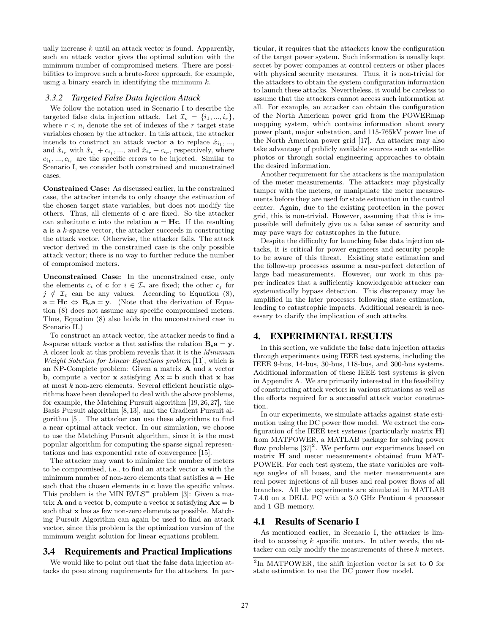ually increase  $k$  until an attack vector is found. Apparently, such an attack vector gives the optimal solution with the minimum number of compromised meters. There are possibilities to improve such a brute-force approach, for example, using a binary search in identifying the minimum  $k$ .

#### *3.3.2 Targeted False Data Injection Attack*

We follow the notation used in Scenario I to describe the targeted false data injection attack. Let  $\mathcal{I}_v = \{i_1, ..., i_r\},\$ where  $r < n$ , denote the set of indexes of the r target state variables chosen by the attacker. In this attack, the attacker intends to construct an attack vector **a** to replace  $\hat{x}_{i_1}, \dots$ and  $\hat{x}_{i_r}$  with  $\hat{x}_{i_1} + c_{i_1}, \dots$ , and  $\hat{x}_{i_r} + c_{i_r}$ , respectively, where  $c_{i_1},...,c_{i_r}$  are the specific errors to be injected. Similar to Scenario I, we consider both constrained and unconstrained cases.

**Constrained Case:** As discussed earlier, in the constrained case, the attacker intends to only change the estimation of the chosen target state variables, but does not modify the others. Thus, all elements of **c** are fixed. So the attacker can substitute **c** into the relation  $\mathbf{a} = \mathbf{H}\mathbf{c}$ . If the resulting **a** is a k-sparse vector, the attacker succeeds in constructing the attack vector. Otherwise, the attacker fails. The attack vector derived in the constrained case is the only possible attack vector; there is no way to further reduce the number of compromised meters.

**Unconstrained Case:** In the unconstrained case, only the elements  $c_i$  of **c** for  $i \in \mathcal{I}_v$  are fixed; the other  $c_j$  for  $j \notin \mathcal{I}_v$  can be any values. According to Equation (8),  $\mathbf{a} = \mathbf{Hc} \Leftrightarrow \mathbf{B_s a} = \mathbf{y}$ . (Note that the derivation of Equation (8) does not assume any specific compromised meters. Thus, Equation (8) also holds in the unconstrained case in Scenario II.)

To construct an attack vector, the attacker needs to find a k-sparse attack vector **a** that satisfies the relation  $B_s a = y$ . A closer look at this problem reveals that it is the *Minimum Weight Solution for Linear Equations problem* [11], which is an NP-Complete problem: Given a matrix **A** and a vector **b**, compute a vector **x** satisfying  $\mathbf{A}\mathbf{x} = \mathbf{b}$  such that **x** has at most  $k$  non-zero elements. Several efficient heuristic algorithms have been developed to deal with the above problems, for example, the Matching Pursuit algorithm [19,26,27], the Basis Pursuit algorithm [8,13], and the Gradient Pursuit algorithm [5]. The attacker can use these algorithms to find a near optimal attack vector. In our simulation, we choose to use the Matching Pursuit algorithm, since it is the most popular algorithm for computing the sparse signal representations and has exponential rate of convergence [15].

The attacker may want to minimize the number of meters to be compromised, i.e., to find an attack vector **a** with the minimum number of non-zero elements that satisfies  $\mathbf{a} = \mathbf{H}\mathbf{c}$ such that the chosen elements in **c** have the specific values. This problem is the MIN  $RVLS =$  problem [3]: Given a matrix **A** and a vector **b**, compute a vector **x** satisfying  $\mathbf{A}\mathbf{x} = \mathbf{b}$ such that **x** has as few non-zero elements as possible. Matching Pursuit Algorithm can again be used to find an attack vector, since this problem is the optimization version of the minimum weight solution for linear equations problem.

## **3.4 Requirements and Practical Implications**

We would like to point out that the false data injection attacks do pose strong requirements for the attackers. In particular, it requires that the attackers know the configuration of the target power system. Such information is usually kept secret by power companies at control centers or other places with physical security measures. Thus, it is non-trivial for the attackers to obtain the system configuration information to launch these attacks. Nevertheless, it would be careless to assume that the attackers cannot access such information at all. For example, an attacker can obtain the configuration of the North American power grid from the POWERmap mapping system, which contains information about every power plant, major substation, and 115-765kV power line of the North American power grid [17]. An attacker may also take advantage of publicly available sources such as satellite photos or through social engineering approaches to obtain the desired information.

Another requirement for the attackers is the manipulation of the meter measurements. The attackers may physically tamper with the meters, or manipulate the meter measurements before they are used for state estimation in the control center. Again, due to the existing protection in the power grid, this is non-trivial. However, assuming that this is impossible will definitely give us a false sense of security and may pave ways for catastrophes in the future.

Despite the difficulty for launching false data injection attacks, it is critical for power engineers and security people to be aware of this threat. Existing state estimation and the follow-up processes assume a near-perfect detection of large bad measurements. However, our work in this paper indicates that a sufficiently knowledgeable attacker can systematically bypass detection. This discrepancy may be amplified in the later processes following state estimation, leading to catastrophic impacts. Additional research is necessary to clarify the implication of such attacks.

## **4. EXPERIMENTAL RESULTS**

In this section, we validate the false data injection attacks through experiments using IEEE test systems, including the IEEE 9-bus, 14-bus, 30-bus, 118-bus, and 300-bus systems. Additional information of these IEEE test systems is given in Appendix A. We are primarily interested in the feasibility of constructing attack vectors in various situations as well as the efforts required for a successful attack vector construction.

In our experiments, we simulate attacks against state estimation using the DC power flow model. We extract the configuration of the IEEE test systems (particularly matrix **H**) from MATPOWER, a MATLAB package for solving power flow problems  $[37]^2$ . We perform our experiments based on matrix **H** and meter measurements obtained from MAT-POWER. For each test system, the state variables are voltage angles of all buses, and the meter measurements are real power injections of all buses and real power flows of all branches. All the experiments are simulated in MATLAB 7.4.0 on a DELL PC with a 3.0 GHz Pentium 4 processor and 1 GB memory.

#### **4.1 Results of Scenario I**

As mentioned earlier, in Scenario I, the attacker is limited to accessing  $k$  specific meters. In other words, the attacker can only modify the measurements of these k meters.

<sup>2</sup>In MATPOWER, the shift injection vector is set to **0** for state estimation to use the DC power flow model.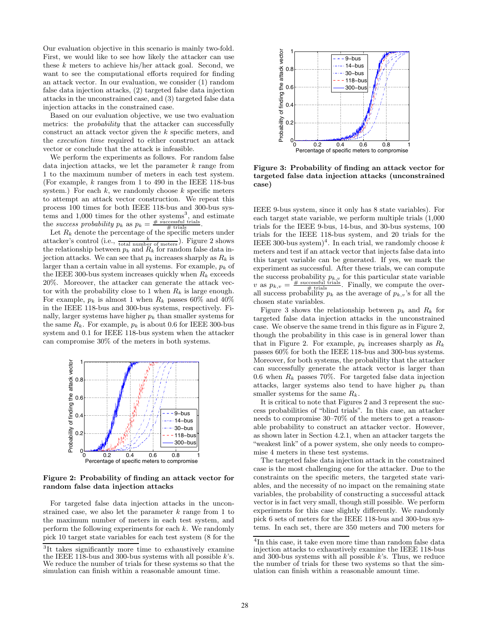Our evaluation objective in this scenario is mainly two-fold. First, we would like to see how likely the attacker can use these  $k$  meters to achieve his/her attack goal. Second, we want to see the computational efforts required for finding an attack vector. In our evaluation, we consider (1) random false data injection attacks, (2) targeted false data injection attacks in the unconstrained case, and (3) targeted false data injection attacks in the constrained case.

Based on our evaluation objective, we use two evaluation metrics: the *probability* that the attacker can successfully construct an attack vector given the k specific meters, and the *execution time* required to either construct an attack vector or conclude that the attack is infeasible.

We perform the experiments as follows. For random false data injection attacks, we let the parameter  $k$  range from 1 to the maximum number of meters in each test system. (For example,  $k$  ranges from 1 to 490 in the IEEE 118-bus system.) For each  $k$ , we randomly choose  $k$  specific meters to attempt an attack vector construction. We repeat this process 100 times for both IEEE 118-bus and 300-bus systems and  $1,000$  times for the other systems<sup>3</sup>, and estimate the *success probability*  $p_k$  as  $p_k = \frac{\text{\# successful trials}}{\text{\# trials}}$ .

Let  $R_k$  denote the percentage of the specific meters under attacker's control (i.e.,  $\frac{k}{\text{total number of meters}}$ ). Figure 2 shows the relationship between  $p_k$  and  $R_k$  for random false data injection attacks. We can see that  $p_k$  increases sharply as  $R_k$  is larger than a certain value in all systems. For example, p*<sup>k</sup>* of the IEEE 300-bus system increases quickly when  $R_k$  exceeds 20%. Moreover, the attacker can generate the attack vector with the probability close to 1 when  $R_k$  is large enough. For example,  $p_k$  is almost 1 when  $R_k$  passes 60% and 40% in the IEEE 118-bus and 300-bus systems, respectively. Finally, larger systems have higher  $p_k$  than smaller systems for the same  $R_k$ . For example,  $p_k$  is about 0.6 for IEEE 300-bus system and 0.1 for IEEE 118-bus system when the attacker can compromise 30% of the meters in both systems.



**Figure 2: Probability of finding an attack vector for random false data injection attacks**

For targeted false data injection attacks in the unconstrained case, we also let the parameter  $k$  range from 1 to the maximum number of meters in each test system, and perform the following experiments for each k. We randomly pick 10 target state variables for each test system (8 for the



**Figure 3: Probability of finding an attack vector for targeted false data injection attacks (unconstrained case)**

IEEE 9-bus system, since it only has 8 state variables). For each target state variable, we perform multiple trials (1,000 trials for the IEEE 9-bus, 14-bus, and 30-bus systems, 100 trials for the IEEE 118-bus system, and 20 trials for the IEEE 300-bus system)<sup>4</sup>. In each trial, we randomly choose k meters and test if an attack vector that injects false data into this target variable can be generated. If yes, we mark the experiment as successful. After these trials, we can compute the success probability  $p_{k,v}$  for this particular state variable v as  $p_{k,v} = \frac{\text{\# successful trials}}{\text{\# trials}}$ . Finally, we compute the overall success probability  $p_k$  as the average of  $p_{k,v}$ 's for all the chosen state variables.

Figure 3 shows the relationship between  $p_k$  and  $R_k$  for targeted false data injection attacks in the unconstrained case. We observe the same trend in this figure as in Figure 2, though the probability in this case is in general lower than that in Figure 2. For example,  $p_k$  increases sharply as  $R_k$ passes 60% for both the IEEE 118-bus and 300-bus systems. Moreover, for both systems, the probability that the attacker can successfully generate the attack vector is larger than 0.6 when  $R_k$  passes 70%. For targeted false data injection attacks, larger systems also tend to have higher  $p_k$  than smaller systems for the same R*k*.

It is critical to note that Figures 2 and 3 represent the success probabilities of "blind trials". In this case, an attacker needs to compromise 30–70% of the meters to get a reasonable probability to construct an attacker vector. However, as shown later in Section 4.2.1, when an attacker targets the "weakest link" of a power system, she only needs to compromise 4 meters in these test systems.

The targeted false data injection attack in the constrained case is the most challenging one for the attacker. Due to the constraints on the specific meters, the targeted state variables, and the necessity of no impact on the remaining state variables, the probability of constructing a successful attack vector is in fact very small, though still possible. We perform experiments for this case slightly differently. We randomly pick 6 sets of meters for the IEEE 118-bus and 300-bus systems. In each set, there are 350 meters and 700 meters for

<sup>3</sup>It takes significantly more time to exhaustively examine the IEEE 118-bus and 300-bus systems with all possible  $k$ 's. We reduce the number of trials for these systems so that the simulation can finish within a reasonable amount time.

<sup>&</sup>lt;sup>4</sup>In this case, it take even more time than random false data injection attacks to exhaustively examine the IEEE 118-bus and 300-bus systems with all possible  $k$ 's. Thus, we reduce the number of trials for these two systems so that the simulation can finish within a reasonable amount time.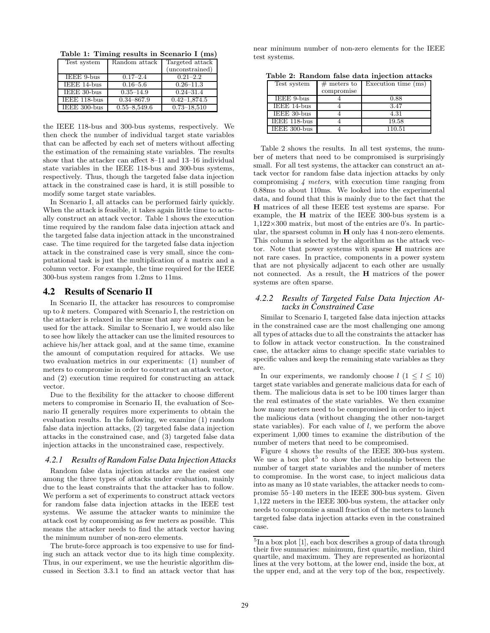**Table 1: Timing results in Scenario I (ms)**

| Test system  | Random attack    | Targeted attack  |
|--------------|------------------|------------------|
|              |                  | (unconstrained)  |
| IEEE 9-bus   | $0.17 - 2.4$     | $0.21 - 2.2$     |
| IEEE 14-bus  | $0.16 - 5.6$     | $0.26 - 11.3$    |
| IEEE 30-bus  | $0.35 - 14.9$    | $0.24 - 31.4$    |
| IEEE 118-bus | $0.34 - 867.9$   | $0.42 - 1.874.5$ |
| IEEE 300-bus | $0.55 - 8.549.6$ | $0.73 - 18.510$  |

the IEEE 118-bus and 300-bus systems, respectively. We then check the number of individual target state variables that can be affected by each set of meters without affecting the estimation of the remaining state variables. The results show that the attacker can affect 8–11 and 13–16 individual state variables in the IEEE 118-bus and 300-bus systems, respectively. Thus, though the targeted false data injection attack in the constrained case is hard, it is still possible to modify some target state variables.

In Scenario I, all attacks can be performed fairly quickly. When the attack is feasible, it takes again little time to actually construct an attack vector. Table 1 shows the execution time required by the random false data injection attack and the targeted false data injection attack in the unconstrained case. The time required for the targeted false data injection attack in the constrained case is very small, since the computational task is just the multiplication of a matrix and a column vector. For example, the time required for the IEEE 300-bus system ranges from 1.2ms to 11ms.

## **4.2 Results of Scenario II**

In Scenario II, the attacker has resources to compromise up to k meters. Compared with Scenario I, the restriction on the attacker is relaxed in the sense that any  $k$  meters can be used for the attack. Similar to Scenario I, we would also like to see how likely the attacker can use the limited resources to achieve his/her attack goal, and at the same time, examine the amount of computation required for attacks. We use two evaluation metrics in our experiments: (1) number of meters to compromise in order to construct an attack vector, and (2) execution time required for constructing an attack vector.

Due to the flexibility for the attacker to choose different meters to compromise in Scenario II, the evaluation of Scenario II generally requires more experiments to obtain the evaluation results. In the following, we examine (1) random false data injection attacks, (2) targeted false data injection attacks in the constrained case, and (3) targeted false data injection attacks in the unconstrained case, respectively.

#### *4.2.1 Results of Random False Data Injection Attacks*

Random false data injection attacks are the easiest one among the three types of attacks under evaluation, mainly due to the least constraints that the attacker has to follow. We perform a set of experiments to construct attack vectors for random false data injection attacks in the IEEE test systems. We assume the attacker wants to minimize the attack cost by compromising as few meters as possible. This means the attacker needs to find the attack vector having the minimum number of non-zero elements.

The brute-force approach is too expensive to use for finding such an attack vector due to its high time complexity. Thus, in our experiment, we use the heuristic algorithm discussed in Section 3.3.1 to find an attack vector that has near minimum number of non-zero elements for the IEEE test systems.

**Table 2: Random false data injection attacks**

| Test system        | $#$ meters to | Execution time (ms) |  |  |  |
|--------------------|---------------|---------------------|--|--|--|
|                    | compromise    |                     |  |  |  |
| <b>IEEE</b> 9-bus  |               | 0.88                |  |  |  |
| <b>IEEE</b> 14-bus |               | 3.47                |  |  |  |
| <b>IEEE 30-bus</b> |               | 4.31                |  |  |  |
| IEEE 118-bus       |               | 19.58               |  |  |  |
| IEEE 300-bus       |               | 110.51              |  |  |  |

Table 2 shows the results. In all test systems, the number of meters that need to be compromised is surprisingly small. For all test systems, the attacker can construct an attack vector for random false data injection attacks by only compromising *4 meters*, with execution time ranging from 0.88ms to about 110ms. We looked into the experimental data, and found that this is mainly due to the fact that the **H** matrices of all these IEEE test systems are sparse. For example, the **H** matrix of the IEEE 300-bus system is a  $1,122\times300$  matrix, but most of the entries are 0's. In particular, the sparsest column in **H** only has 4 non-zero elements. This column is selected by the algorithm as the attack vector. Note that power systems with sparse **H** matrices are not rare cases. In practice, components in a power system that are not physically adjacent to each other are usually not connected. As a result, the **H** matrices of the power systems are often sparse.

## *4.2.2 Results of Targeted False Data Injection Attacks in Constrained Case*

Similar to Scenario I, targeted false data injection attacks in the constrained case are the most challenging one among all types of attacks due to all the constraints the attacker has to follow in attack vector construction. In the constrained case, the attacker aims to change specific state variables to specific values and keep the remaining state variables as they are.

In our experiments, we randomly choose  $l$   $(1 \leq l \leq 10)$ target state variables and generate malicious data for each of them. The malicious data is set to be 100 times larger than the real estimates of the state variables. We then examine how many meters need to be compromised in order to inject the malicious data (without changing the other non-target state variables). For each value of l, we perform the above experiment 1,000 times to examine the distribution of the number of meters that need to be compromised.

Figure 4 shows the results of the IEEE 300-bus system. We use a box  $plot<sup>5</sup>$  to show the relationship between the number of target state variables and the number of meters to compromise. In the worst case, to inject malicious data into as many as 10 state variables, the attacker needs to compromise 55–140 meters in the IEEE 300-bus system. Given 1,122 meters in the IEEE 300-bus system, the attacker only needs to compromise a small fraction of the meters to launch targeted false data injection attacks even in the constrained case.

 ${}^{5}$ In a box plot [1], each box describes a group of data through their five summaries: minimum, first quartile, median, third quartile, and maximum. They are represented as horizontal lines at the very bottom, at the lower end, inside the box, at the upper end, and at the very top of the box, respectively.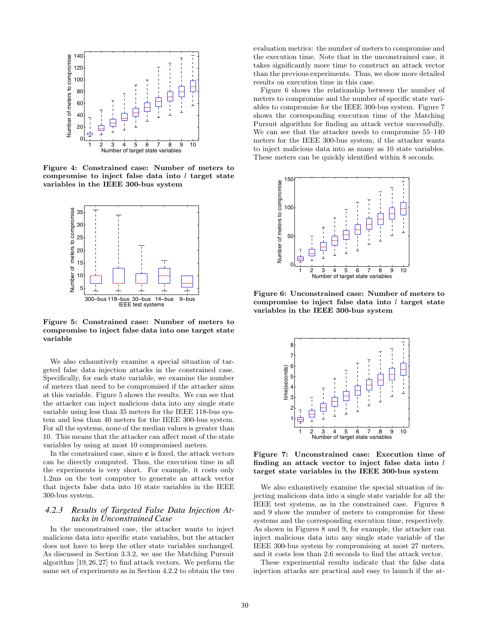

**Figure 4: Constrained case: Number of meters to compromise to inject false data into** l **target state variables in the IEEE 300-bus system**



**Figure 5: Constrained case: Number of meters to compromise to inject false data into one target state variable**

We also exhaustively examine a special situation of targeted false data injection attacks in the constrained case. Specifically, for each state variable, we examine the number of meters that need to be compromised if the attacker aims at this variable. Figure 5 shows the results. We can see that the attacker can inject malicious data into any single state variable using less than 35 meters for the IEEE 118-bus system and less than 40 meters for the IEEE 300-bus system. For all the systems, none of the median values is greater than 10. This means that the attacker can affect most of the state variables by using at most 10 compromised meters.

In the constrained case, since **c** is fixed, the attack vectors can be directly computed. Thus, the execution time in all the experiments is very short. For example, it costs only 1.2ms on the test computer to generate an attack vector that injects false data into 10 state variables in the IEEE 300-bus system.

#### *4.2.3 Results of Targeted False Data Injection Attacks in Unconstrained Case*

In the unconstrained case, the attacker wants to inject malicious data into specific state variables, but the attacker does not have to keep the other state variables unchanged. As discussed in Section 3.3.2, we use the Matching Pursuit algorithm [19, 26, 27] to find attack vectors. We perform the same set of experiments as in Section 4.2.2 to obtain the two

evaluation metrics: the number of meters to compromise and the execution time. Note that in the unconstrained case, it takes significantly more time to construct an attack vector than the previous experiments. Thus, we show more detailed results on execution time in this case.

Figure 6 shows the relationship between the number of meters to compromise and the number of specific state variables to compromise for the IEEE 300-bus system. Figure 7 shows the corresponding execution time of the Matching Pursuit algorithm for finding an attack vector successfully. We can see that the attacker needs to compromise 55–140 meters for the IEEE 300-bus system, if the attacker wants to inject malicious data into as many as 10 state variables. These meters can be quickly identified within 8 seconds.



**Figure 6: Unconstrained case: Number of meters to compromise to inject false data into** l **target state variables in the IEEE 300-bus system**



**Figure 7: Unconstrained case: Execution time of finding an attack vector to inject false data into** l **target state variables in the IEEE 300-bus system**

We also exhaustively examine the special situation of injecting malicious data into a single state variable for all the IEEE test systems, as in the constrained case. Figures 8 and 9 show the number of meters to compromise for these systems and the corresponding execution time, respectively. As shown in Figures 8 and 9, for example, the attacker can inject malicious data into any single state variable of the IEEE 300-bus system by compromising at most 27 meters, and it costs less than 2.6 seconds to find the attack vector.

These experimental results indicate that the false data injection attacks are practical and easy to launch if the at-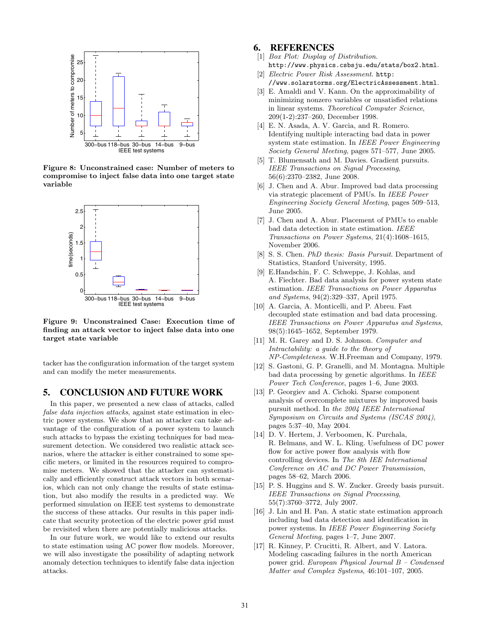

**Figure 8: Unconstrained case: Number of meters to compromise to inject false data into one target state variable**



**Figure 9: Unconstrained Case: Execution time of finding an attack vector to inject false data into one target state variable**

tacker has the configuration information of the target system and can modify the meter measurements.

#### **5. CONCLUSION AND FUTURE WORK**

In this paper, we presented a new class of attacks, called *false data injection attacks*, against state estimation in electric power systems. We show that an attacker can take advantage of the configuration of a power system to launch such attacks to bypass the existing techniques for bad measurement detection. We considered two realistic attack scenarios, where the attacker is either constrained to some specific meters, or limited in the resources required to compromise meters. We showed that the attacker can systematically and efficiently construct attack vectors in both scenarios, which can not only change the results of state estimation, but also modify the results in a predicted way. We performed simulation on IEEE test systems to demonstrate the success of these attacks. Our results in this paper indicate that security protection of the electric power grid must be revisited when there are potentially malicious attacks.

In our future work, we would like to extend our results to state estimation using AC power flow models. Moreover, we will also investigate the possibility of adapting network anomaly detection techniques to identify false data injection attacks.

## **6. REFERENCES**

- [1] *Box Plot: Display of Distribution*.
- http://www.physics.csbsju.edu/stats/box2.html. [2] *Electric Power Risk Assessment*. http:
- //www.solarstorms.org/ElectricAssessment.html.
- [3] E. Amaldi and V. Kann. On the approximability of minimizing nonzero variables or unsatisfied relations in linear systems. *Theoretical Computer Science*, 209(1-2):237–260, December 1998.
- [4] E. N. Asada, A. V. Garcia, and R. Romero. Identifying multiple interacting bad data in power system state estimation. In *IEEE Power Engineering Society General Meeting*, pages 571–577, June 2005.
- [5] T. Blumensath and M. Davies. Gradient pursuits. *IEEE Transactions on Signal Processing*, 56(6):2370–2382, June 2008.
- [6] J. Chen and A. Abur. Improved bad data processing via strategic placement of PMUs. In *IEEE Power Engineering Society General Meeting*, pages 509–513, June 2005.
- [7] J. Chen and A. Abur. Placement of PMUs to enable bad data detection in state estimation. *IEEE Transactions on Power Systems*, 21(4):1608–1615, November 2006.
- [8] S. S. Chen. *PhD thesis: Basis Pursuit*. Department of Statistics, Stanford University, 1995.
- [9] E.Handschin, F. C. Schweppe, J. Kohlas, and A. Fiechter. Bad data analysis for power system state estimation. *IEEE Transactions on Power Apparatus and Systems*, 94(2):329–337, April 1975.
- [10] A. Garcia, A. Monticelli, and P. Abreu. Fast decoupled state estimation and bad data processing. *IEEE Transactions on Power Apparatus and Systems*, 98(5):1645–1652, September 1979.
- [11] M. R. Garey and D. S. Johnson. *Computer and Intractability: a guide to the theory of NP-Completeness*. W.H.Freeman and Company, 1979.
- [12] S. Gastoni, G. P. Granelli, and M. Montagna. Multiple bad data processing by genetic algorithms. In *IEEE Power Tech Conference*, pages 1–6, June 2003.
- [13] P. Georgiev and A. Cichoki. Sparse component analysis of overcomplete mixtures by improved basis pursuit method. In *the 2004 IEEE International Symposium on Circuits and Systems (ISCAS 2004)*, pages 5:37–40, May 2004.
- [14] D. V. Hertem, J. Verboomen, K. Purchala, R. Belmans, and W. L. Kling. Usefulness of DC power flow for active power flow analysis with flow controlling devices. In *The 8th IEE International Conference on AC and DC Power Transmission*, pages 58–62, March 2006.
- [15] P. S. Huggins and S. W. Zucker. Greedy basis pursuit. *IEEE Transactions on Signal Processing*, 55(7):3760–3772, July 2007.
- [16] J. Lin and H. Pan. A static state estimation approach including bad data detection and identification in power systems. In *IEEE Power Engineering Society General Meeting*, pages 1–7, June 2007.
- [17] R. Kinney, P. Crucitti, R. Albert, and V. Latora. Modeling cascading failures in the north American power grid. *European Physical Journal B – Condensed Matter and Complex Systems*, 46:101–107, 2005.